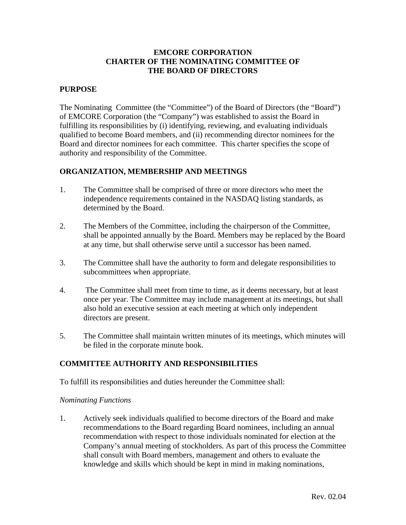### **EMCORE CORPORATION CHARTER OF THE NOMINATING COMMITTEE OF THE BOARD OF DIRECTORS**

# **PURPOSE**

The Nominating Committee (the "Committee") of the Board of Directors (the "Board") of EMCORE Corporation (the "Company") was established to assist the Board in fulfilling its responsibilities by (i) identifying, reviewing, and evaluating individuals qualified to become Board members, and (ii) recommending director nominees for the Board and director nominees for each committee. This charter specifies the scope of authority and responsibility of the Committee.

# **ORGANIZATION, MEMBERSHIP AND MEETINGS**

- 1. The Committee shall be comprised of three or more directors who meet the independence requirements contained in the NASDAQ listing standards, as determined by the Board.
- 2. The Members of the Committee, including the chairperson of the Committee, shall be appointed annually by the Board. Members may be replaced by the Board at any time, but shall otherwise serve until a successor has been named.
- 3. The Committee shall have the authority to form and delegate responsibilities to subcommittees when appropriate.
- 4. The Committee shall meet from time to time, as it deems necessary, but at least once per year. The Committee may include management at its meetings, but shall also hold an executive session at each meeting at which only independent directors are present.
- 5. The Committee shall maintain written minutes of its meetings, which minutes will be filed in the corporate minute book.

# **COMMITTEE AUTHORITY AND RESPONSIBILITIES**

To fulfill its responsibilities and duties hereunder the Committee shall:

#### *Nominating Functions*

1. Actively seek individuals qualified to become directors of the Board and make recommendations to the Board regarding Board nominees, including an annual recommendation with respect to those individuals nominated for election at the Company's annual meeting of stockholders. As part of this process the Committee shall consult with Board members, management and others to evaluate the knowledge and skills which should be kept in mind in making nominations,